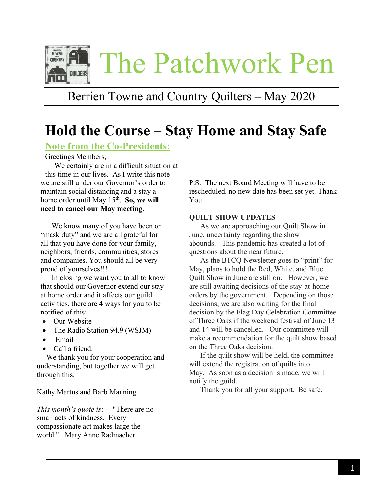

## Berrien Towne and Country Quilters – May 2020

# **Hold the Course – Stay Home and Stay Safe**

#### **Note from the Co-Presidents:**

Greetings Members,

 We certainly are in a difficult situation at this time in our lives. As I write this note we are still under our Governor's order to maintain social distancing and a stay a home order until May 15<sup>th</sup>. So, we will **need to cancel our May meeting.** 

 We know many of you have been on "mask duty" and we are all grateful for all that you have done for your family, neighbors, friends, communities, stores and companies. You should all be very proud of yourselves!!!

 In closing we want you to all to know that should our Governor extend our stay at home order and it affects our guild activities, there are 4 ways for you to be notified of this:

- Our Website
- The Radio Station 94.9 (WSJM)
- Email
- Call a friend.

 We thank you for your cooperation and understanding, but together we will get through this.

Kathy Martus and Barb Manning

*This month's quote is*: "There are no small acts of kindness. Every compassionate act makes large the world." Mary Anne Radmacher

P.S. The next Board Meeting will have to be rescheduled, no new date has been set yet. Thank You

#### **QUILT SHOW UPDATES**

 As we are approaching our Quilt Show in June, uncertainty regarding the show abounds. This pandemic has created a lot of questions about the near future.

 As the BTCQ Newsletter goes to "print" for May, plans to hold the Red, White, and Blue Quilt Show in June are still on. However, we are still awaiting decisions of the stay-at-home orders by the government. Depending on those decisions, we are also waiting for the final decision by the Flag Day Celebration Committee of Three Oaks if the weekend festival of June 13 and 14 will be cancelled. Our committee will make a recommendation for the quilt show based on the Three Oaks decision.

 If the quilt show will be held, the committee will extend the registration of quilts into May. As soon as a decision is made, we will notify the guild.

Thank you for all your support. Be safe.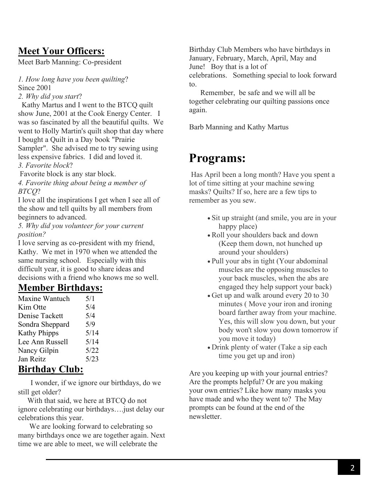### **Meet Your Officers:**

Meet Barb Manning: Co-president

*1. How long have you been quilting*? Since 2001

*2. Why did you start*?

Kathy Martus and I went to the BTCQ quilt show June, 2001 at the Cook Energy Center. I was so fascinated by all the beautiful quilts. We went to Holly Martin's quilt shop that day where I bought a Quilt in a Day book "Prairie Sampler". She advised me to try sewing using less expensive fabrics. I did and loved it. *3. Favorite block*?

Favorite block is any star block.

*4. Favorite thing about being a member of BTCQ*?

I love all the inspirations I get when I see all of the show and tell quilts by all members from beginners to advanced.

*5. Why did you volunteer for your current position?*

I love serving as co-president with my friend, Kathy. We met in 1970 when we attended the same nursing school. Especially with this difficult year, it is good to share ideas and decisions with a friend who knows me so well.

### **Member Birthdays:**

| Maxine Wantuch      | 5/1  |
|---------------------|------|
| Kim Otte            | 5/4  |
| Denise Tackett      | 5/4  |
| Sondra Sheppard     | 5/9  |
| <b>Kathy Phipps</b> | 5/14 |
| Lee Ann Russell     | 5/14 |
| Nancy Gilpin        | 5/22 |
| Jan Reitz           | 5/23 |
|                     |      |

### **Birthday Club:**

 I wonder, if we ignore our birthdays, do we still get older?

 With that said, we here at BTCQ do not ignore celebrating our birthdays….just delay our celebrations this year.

 We are looking forward to celebrating so many birthdays once we are together again. Next time we are able to meet, we will celebrate the

Birthday Club Members who have birthdays in January, February, March, April, May and June! Boy that is a lot of celebrations. Something special to look forward to.

 Remember, be safe and we will all be together celebrating our quilting passions once again.

Barb Manning and Kathy Martus

## **Programs:**

Has April been a long month? Have you spent a lot of time sitting at your machine sewing masks? Quilts? If so, here are a few tips to remember as you sew.

- Sit up straight (and smile, you are in your happy place)
- Roll your shoulders back and down (Keep them down, not hunched up around your shoulders)
- Pull your abs in tight (Your abdominal muscles are the opposing muscles to your back muscles, when the abs are engaged they help support your back)
- Get up and walk around every 20 to 30 minutes ( Move your iron and ironing board farther away from your machine. Yes, this will slow you down, but your body won't slow you down tomorrow if you move it today)
- Drink plenty of water (Take a sip each time you get up and iron)

Are you keeping up with your journal entries? Are the prompts helpful? Or are you making your own entries? Like how many masks you have made and who they went to? The May prompts can be found at the end of the newsletter.